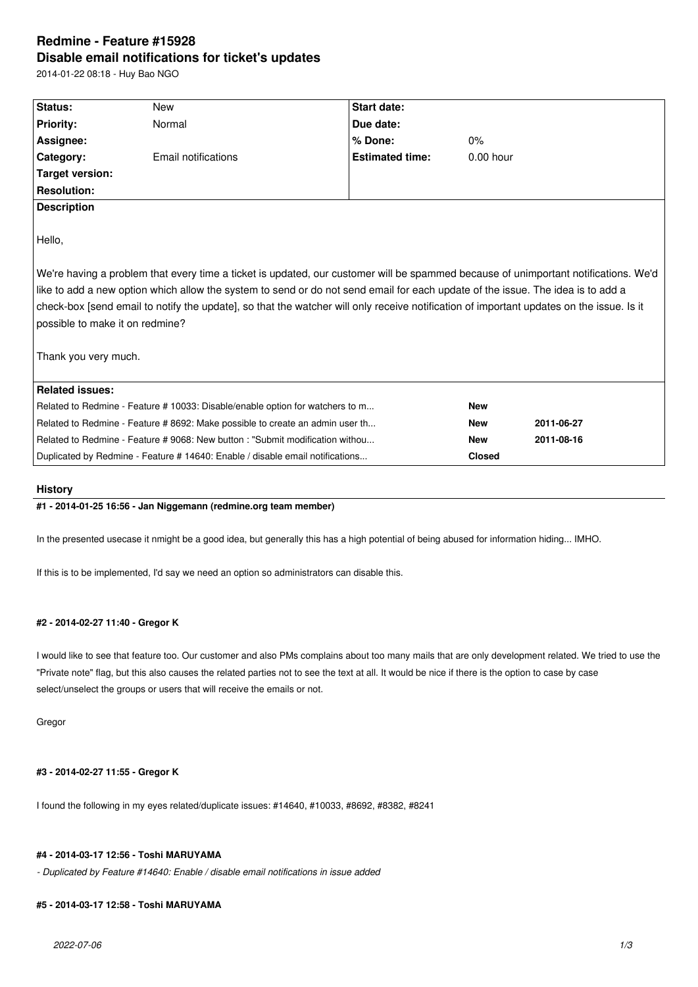# **Redmine - Feature #15928 Disable email notifications for ticket's updates**

2014-01-22 08:18 - Huy Bao NGO

| Status:                                                                                                                                  | <b>New</b>          | <b>Start date:</b>     |             |            |
|------------------------------------------------------------------------------------------------------------------------------------------|---------------------|------------------------|-------------|------------|
|                                                                                                                                          |                     |                        |             |            |
| <b>Priority:</b>                                                                                                                         | Normal              | Due date:              |             |            |
| Assignee:                                                                                                                                |                     | % Done:                | $0\%$       |            |
| Category:                                                                                                                                | Email notifications | <b>Estimated time:</b> | $0.00$ hour |            |
| <b>Target version:</b>                                                                                                                   |                     |                        |             |            |
| <b>Resolution:</b>                                                                                                                       |                     |                        |             |            |
| <b>Description</b>                                                                                                                       |                     |                        |             |            |
|                                                                                                                                          |                     |                        |             |            |
| Hello,                                                                                                                                   |                     |                        |             |            |
|                                                                                                                                          |                     |                        |             |            |
| We're having a problem that every time a ticket is updated, our customer will be spammed because of unimportant notifications. We'd      |                     |                        |             |            |
| like to add a new option which allow the system to send or do not send email for each update of the issue. The idea is to add a          |                     |                        |             |            |
| check-box [send email to notify the update], so that the watcher will only receive notification of important updates on the issue. Is it |                     |                        |             |            |
| possible to make it on redmine?                                                                                                          |                     |                        |             |            |
|                                                                                                                                          |                     |                        |             |            |
| Thank you very much.                                                                                                                     |                     |                        |             |            |
|                                                                                                                                          |                     |                        |             |            |
| <b>Related issues:</b>                                                                                                                   |                     |                        |             |            |
|                                                                                                                                          |                     |                        |             |            |
| Related to Redmine - Feature # 10033: Disable/enable option for watchers to m                                                            |                     |                        | <b>New</b>  |            |
| Related to Redmine - Feature # 8692: Make possible to create an admin user th                                                            |                     | <b>New</b>             | 2011-06-27  |            |
| Related to Redmine - Feature # 9068: New button: "Submit modification withou                                                             |                     |                        | <b>New</b>  | 2011-08-16 |
| Duplicated by Redmine - Feature # 14640: Enable / disable email notifications                                                            |                     | <b>Closed</b>          |             |            |

### **History**

## **#1 - 2014-01-25 16:56 - Jan Niggemann (redmine.org team member)**

In the presented usecase it nmight be a good idea, but generally this has a high potential of being abused for information hiding... IMHO.

If this is to be implemented, I'd say we need an option so administrators can disable this.

# **#2 - 2014-02-27 11:40 - Gregor K**

I would like to see that feature too. Our customer and also PMs complains about too many mails that are only development related. We tried to use the "Private note" flag, but this also causes the related parties not to see the text at all. It would be nice if there is the option to case by case select/unselect the groups or users that will receive the emails or not.

Gregor

#### **#3 - 2014-02-27 11:55 - Gregor K**

I found the following in my eyes related/duplicate issues: #14640, #10033, #8692, #8382, #8241

# **#4 - 2014-03-17 12:56 - Toshi MARUYAMA**

*- Duplicated by Feature #14640: Enable / disable email notifications in issue added*

## **#5 - 2014-03-17 12:58 - Toshi MARUYAMA**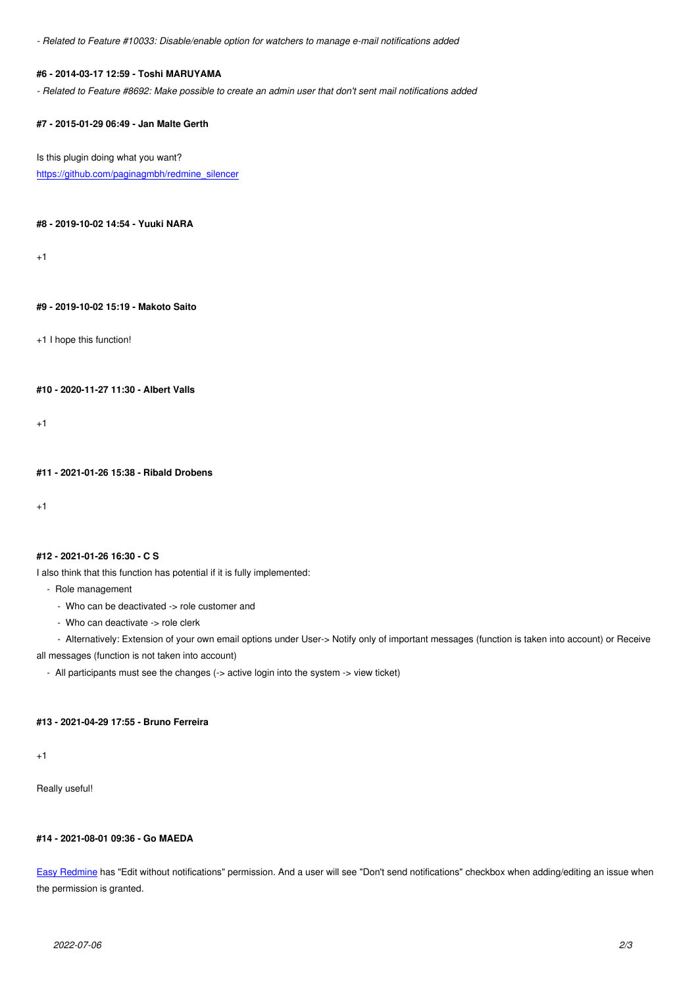### **#6 - 2014-03-17 12:59 - Toshi MARUYAMA**

*- Related to Feature #8692: Make possible to create an admin user that don't sent mail notifications added*

#### **#7 - 2015-01-29 06:49 - Jan Malte Gerth**

Is this plugin doing what you want? https://github.com/paginagmbh/redmine\_silencer

**[#8 - 2019-10-02 14:54 - Yuuki NARA](https://github.com/paginagmbh/redmine_silencer)**

 $+1$ 

#### **#9 - 2019-10-02 15:19 - Makoto Saito**

+1 I hope this function!

**#10 - 2020-11-27 11:30 - Albert Valls**

+1

**#11 - 2021-01-26 15:38 - Ribald Drobens**

+1

#### **#12 - 2021-01-26 16:30 - C S**

I also think that this function has potential if it is fully implemented:

- Role management
	- Who can be deactivated -> role customer and
	- Who can deactivate -> role clerk

- Alternatively: Extension of your own email options under User-> Notify only of important messages (function is taken into account) or Receive

all messages (function is not taken into account)

- All participants must see the changes (-> active login into the system -> view ticket)

# **#13 - 2021-04-29 17:55 - Bruno Ferreira**

+1

Really useful!

# **#14 - 2021-08-01 09:36 - Go MAEDA**

Easy Redmine has "Edit without notifications" permission. And a user will see "Don't send notifications" checkbox when adding/editing an issue when the permission is granted.